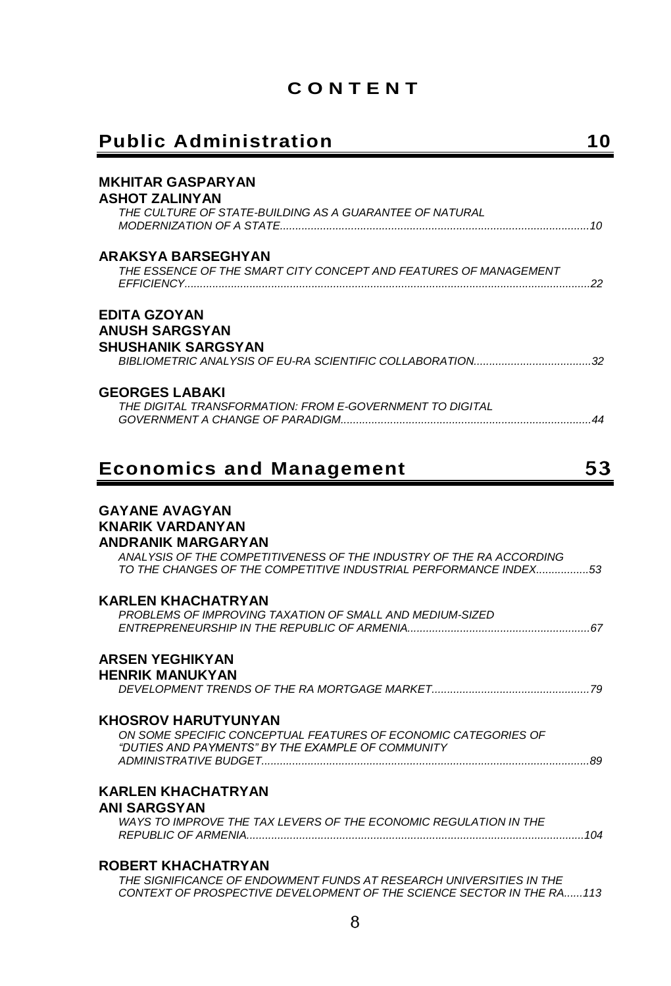## **C O N T E N T**

## **Public Administration 10**

| <b>MKHITAR GASPARYAN</b>                                                               |
|----------------------------------------------------------------------------------------|
| ASHOT ZALINYAN                                                                         |
| THE CULTURE OF STATE-BUILDING AS A GUARANTEE OF NATURAL                                |
|                                                                                        |
| ARAKSYA BARSEGHYAN<br>THE ESSENCE OF THE SMART CITY CONCEPT AND FEATURES OF MANAGEMENT |
|                                                                                        |
| <b>EDITA GZOYAN</b>                                                                    |
| <b>ANUSH SARGSYAN</b>                                                                  |
| <b>SHUSHANIK SARGSYAN</b>                                                              |
|                                                                                        |
| <b>GEORGES LABAKI</b><br>THE DIGITAL TRANSFORMATION: FROM E-GOVERNMENT TO DIGITAL      |
|                                                                                        |
|                                                                                        |
| 53<br><b>Economics and Management</b>                                                  |
|                                                                                        |
| <b>GAYANE AVAGYAN</b><br><b>KNARIK VARDANYAN</b>                                       |
|                                                                                        |
| ANDRANIK MARGARYAN                                                                     |
| ANALYSIS OF THE COMPETITIVENESS OF THE INDUSTRY OF THE RA ACCORDING                    |
| TO THE CHANGES OF THE COMPETITIVE INDUSTRIAL PERFORMANCE INDEX53                       |
| <b>KARLEN KHACHATRYAN</b>                                                              |
| PROBLEMS OF IMPROVING TAXATION OF SMALL AND MEDIUM-SIZED                               |
|                                                                                        |
| <b>ARSEN YEGHIKYAN</b><br><b>HENRIK MANUKYAN</b>                                       |
|                                                                                        |
| <b>KHOSROV HARUTYUNYAN</b>                                                             |
| ON SOME SPECIFIC CONCEPTUAL FEATURES OF ECONOMIC CATEGORIES OF                         |
| "DUTIES AND PAYMENTS" BY THE EXAMPLE OF COMMUNITY                                      |
|                                                                                        |
| <b>KARLEN KHACHATRYAN</b><br><b>ANI SARGSYAN</b>                                       |
| WAYS TO IMPROVE THE TAX LEVERS OF THE ECONOMIC REGULATION IN THE                       |
| <b>ROBERT KHACHATRYAN</b>                                                              |

*THE SIGNIFICANCE OF ENDOWMENT FUNDS AT RESEARCH UNIVERSITIES IN THE CONTEXT OF PROSPECTIVE DEVELOPMENT OF THE SCIENCE SECTOR IN THE RA......113*